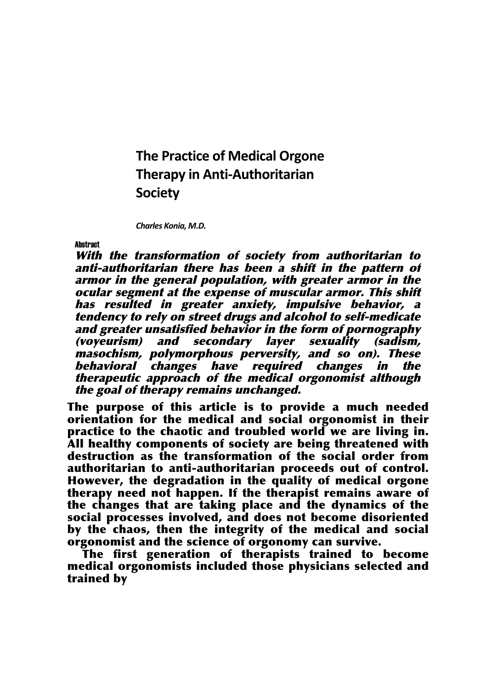**The Practice of Medical Orgone Therapy in Anti-Authoritarian Society**

**Charles Konia, M.D.** 

**Abstract** 

With the transformation of society from authoritarian to anti-authoritarian there has been <sup>a</sup> shift in the pattern of armor in the general population, with greater armor in the ocular segment at the expense of muscular armor. This shift has resulted in greater anxiety, impulsive behavior, <sup>a</sup> tendency to rely on street drugs and alcohol to self-medicate and greater unsatisfied behavior in the form of pornography (voyeurism) and secondary layer sexuality (sadism, masochism, polymorphous perversity, and so on). These behavioral changes have required changes in the therapeutic approach of the medical orgonomist although the goal of therapy remains unchanged.

The purpose of this article is to provide a much needed orientation for the medical and social orgonomist in their practice to the chaotic and troubled world we are living in. All healthy components of society are being threatened with destruction as the transformation of the social order from authoritarian to anti-authoritarian proceeds out of control. However, the degradation in the quality of medical orgone therapy need not happen. If the therapist remains aware of the changes that are taking place and the dynamics of the social processes involved, and does not become disoriented by the chaos, then the integrity of the medical and social orgonomist and the science of orgonomy can survive.

The first generation of therapists trained to become medical orgonomists included those physicians selected and trained by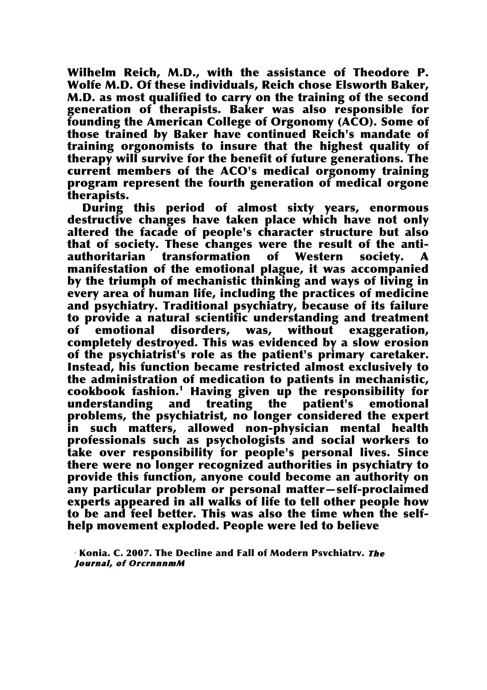Wilhelm Reich, M.D., with the assistance of Theodore P. Wolfe M.D. Of these individuals, Reich chose Elsworth Baker, M.D. as most qualified to carry on the training of the second generation of therapists. Baker was also responsible for founding the American College of Orgonomy (ACO). Some of those trained by Baker have continued Reich's mandate of training orgonomists to insure that the highest quality of therapy will survive for the benefit of future generations. The current members of the ACO's medical orgonomy training program represent the fourth generation of medical orgone therapists.

During this period of almost sixty years, enormous destructive changes have taken place which have not only altered the facade of people's character structure but also that of society. These changes were the result of the antiauthoritarian transformation of Western society. A manifestation of the emotional plague, it was accompanied by the triumph of mechanistic thinking and ways of living in every area of human life, including the practices of medicine and psychiatry. Traditional psychiatry, because of its failure to provide a natural scientific understanding and treatment of emotional disorders, was, without exaggeration, completely destroyed. This was evidenced by a slow erosion of the psychiatrist's role as the patient's primary caretaker. Instead, his function became restricted almost exclusively to the administration of medication to patients in mechanistic, cookbook fashion.1 Having given up the responsibility for understanding and treating the patient's emotional problems, the psychiatrist, no longer considered the expert such matters, allowed non-physician mental health professionals such as psychologists and social workers to take over responsibility for people's personal lives. Since there were no longer recognized authorities in psychiatry to provide this function, anyone could become an authority on any particular problem or personal matter—self-proclaimed experts appeared in all walks of life to tell other people how to be and feel better. This was also the time when the selfhelp movement exploded. People were led to believe

Konia. C. 2007. The Decline and Fall of Modern Psvchiatrv. *The* Journal, of OrcrnnnmM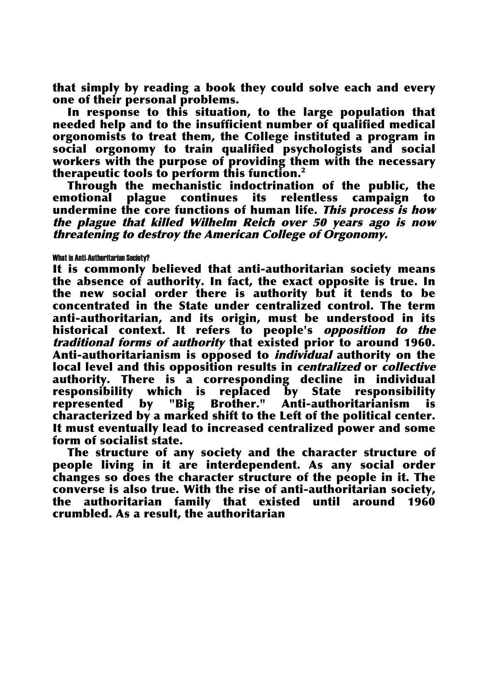that simply by reading a book they could solve each and every one of their personal problems.

In response to this situation, to the large population that needed help and to the insufficient number of qualified medical orgonomists to treat them, the College instituted a program in social orgonomy to train qualified psychologists and social workers with the purpose of providing them with the necessary therapeutic tools to perform this function.2

Through the mechanistic indoctrination of the public, the emotional plague continues its relentless campaign to undermine the core functions of human life. This process is how the plague that killed Wilhelm Reich over <sup>50</sup> years ago is now threatening to destroy the American College of Orgonomy.

## What is Anti-Authoritarian Society?

It is commonly believed that anti-authoritarian society means the absence of authority. In fact, the exact opposite is true. In the new social order there is authority but it tends to be concentrated in the State under centralized control. The term anti-authoritarian, and its origin, must be understood in its historical context. It refers to people's opposition to the traditional forms of authority that existed prior to around 1960. Anti-authoritarianism is opposed to *individual* authority on the local level and this opposition results in *centralized* or *collective* authority. There is a corresponding decline in individual responsibility which is replaced by State responsibility represented by "Big Brother." Anti-authoritarianism is characterized by a marked shift to the Left of the political center. It must eventually lead to increased centralized power and some form of socialist state.

The structure of any society and the character structure of people living in it are interdependent. As any social order changes so does the character structure of the people in it. The converse is also true. With the rise of anti-authoritarian society, the authoritarian family that existed until around 1960 crumbled. As a result, the authoritarian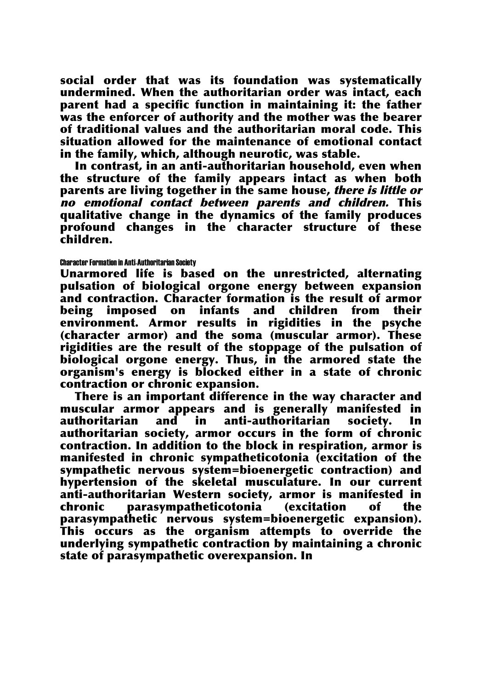social order that was its foundation was systematically undermined. When the authoritarian order was intact, each parent had a specific function in maintaining it: the father was the enforcer of authority and the mother was the bearer of traditional values and the authoritarian moral code. This situation allowed for the maintenance of emotional contact in the family, which, although neurotic, was stable.

In contrast, in an anti-authoritarian household, even when the structure of the family appears intact as when both parents are living together in the same house, there is little or no emotional contact between parents and children. This qualitative change in the dynamics of the family produces profound changes in the character structure of these children.

## Character Formation in Anti-Authoritarian Society

Unarmored life is based on the unrestricted, alternating pulsation of biological orgone energy between expansion and contraction. Character formation is the result of armor being imposed on infants and children from their environment. Armor results in rigidities in the psyche (character armor) and the soma (muscular armor). These rigidities are the result of the stoppage of the pulsation of biological orgone energy. Thus, in the armored state the organism's energy is blocked either in a state of chronic contraction or chronic expansion.

There is an important difference in the way character and muscular armor appears and is generally manifested in authoritarian and in anti-authoritarian society. In authoritarian society, armor occurs in the form of chronic contraction. In addition to the block in respiration, armor is manifested in chronic sympatheticotonia (excitation of the sympathetic nervous system=bioenergetic contraction) and hypertension of the skeletal musculature. In our current anti-authoritarian Western society, armor is manifested in chronic parasympatheticotonia (excitation of the parasympathetic nervous system=bioenergetic expansion). This occurs as the organism attempts to override the underlying sympathetic contraction by maintaining a chronic state of parasympathetic overexpansion. In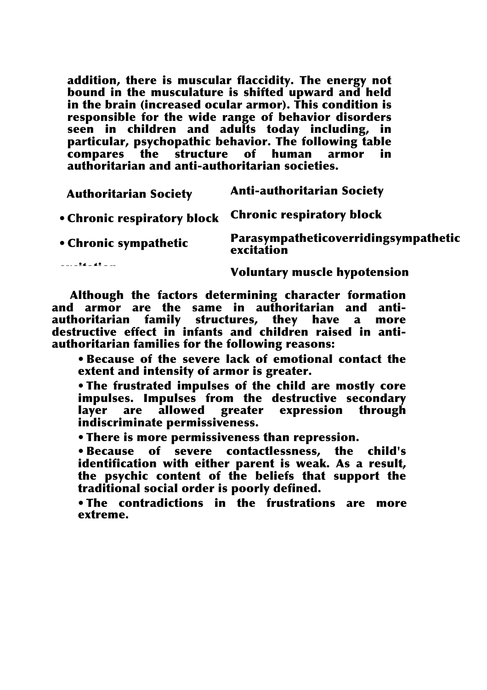addition, there is muscular flaccidity. The energy not bound in the musculature is shifted upward and held in the brain (increased ocular armor). This condition is responsible for the wide range of behavior disorders seen in children and adults today including, in particular, psychopathic behavior. The following table compares the structure of human armor in authoritarian and anti-authoritarian societies.

| <b>Authoritarian Society</b> | <b>Anti-authoritarian Society</b>                  |
|------------------------------|----------------------------------------------------|
| • Chronic respiratory block  | <b>Chronic respiratory block</b>                   |
| • Chronic sympathetic        | Parasympatheticoverridingsympathetic<br>excitation |
| $- - - 24 - 42 - -$          |                                                    |

Voluntary muscle hypotension

• Voluntary muscle and armor are the same in authoritarian and antiand armor are the same in authoritarian and anti-<br>authoritarian family structures, they have a more Although the factors determining character formation destructive effect in infants and children raised in antiauthoritarian families for the following reasons:

• Because of the severe lack of emotional contact the extent and intensity of armor is greater.

• The frustrated impulses of the child are mostly core impulses. Impulses from the destructive secondary layer are allowed greater expression through indiscriminate permissiveness.

• There is more permissiveness than repression.

• Because of severe contactlessness, the child's identification with either parent is weak. As a result, the psychic content of the beliefs that support the traditional social order is poorly defined.

• The contradictions in the frustrations are more extreme.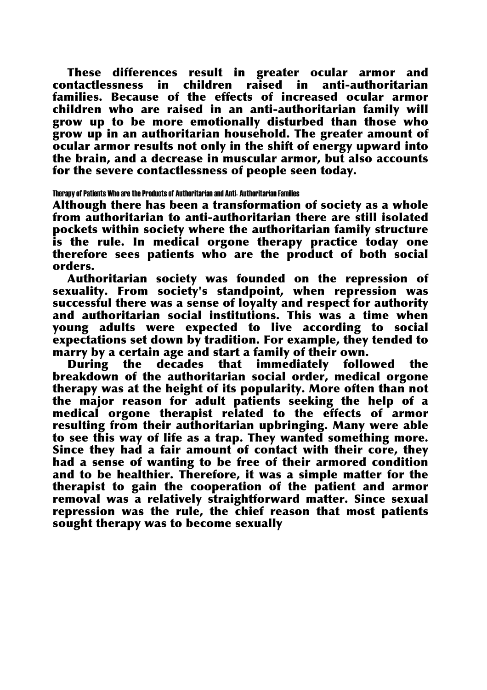These differences result in greater ocular armor and contactlessness in children raised in anti-authoritarian families. Because of the effects of increased ocular armor children who are raised in an anti-authoritarian family will grow up to be more emotionally disturbed than those who grow up in an authoritarian household. The greater amount of ocular armor results not only in the shift of energy upward into the brain, and a decrease in muscular armor, but also accounts for the severe contactlessness of people seen today.

## Therapy of Patients Who are the Products of Authoritarian and Anti- Authoritarian Families

Although there has been a transformation of society as a whole from authoritarian to anti-authoritarian there are still isolated pockets within society where the authoritarian family structure is the rule. In medical orgone therapy practice today one therefore sees patients who are the product of both social orders.

Authoritarian society was founded on the repression of sexuality. From society's standpoint, when repression was successful there was a sense of loyalty and respect for authority and authoritarian social institutions. This was a time when young adults were expected to live according to social expectations set down by tradition. For example, they tended to marry by a certain age and start a family of their own.

During the decades that immediately followed the breakdown of the authoritarian social order, medical orgone therapy was at the height of its popularity. More often than not the major reason for adult patients seeking the help of a medical orgone therapist related to the effects of armor resulting from their authoritarian upbringing. Many were able to see this way of life as a trap. They wanted something more. Since they had a fair amount of contact with their core, they had a sense of wanting to be free of their armored condition and to be healthier. Therefore, it was a simple matter for the therapist to gain the cooperation of the patient and armor removal was a relatively straightforward matter. Since sexual repression was the rule, the chief reason that most patients sought therapy was to become sexually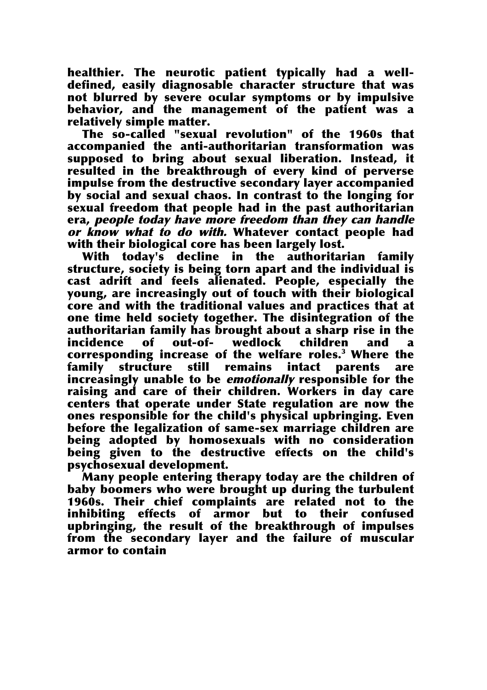healthier. The neurotic patient typically had a welldefined, easily diagnosable character structure that was not blurred by severe ocular symptoms or by impulsive behavior, and the management of the patient was a relatively simple matter.

The so-called "sexual revolution" of the 1960s that accompanied the anti-authoritarian transformation was supposed to bring about sexual liberation. Instead, it resulted in the breakthrough of every kind of perverse impulse from the destructive secondary layer accompanied by social and sexual chaos. In contrast to the longing for sexual freedom that people had in the past authoritarian era, people today have more freedom than they can handle or know what to do with. Whatever contact people had with their biological core has been largely lost.

With today's decline in the authoritarian family structure, society is being torn apart and the individual is cast adrift and feels alienated. People, especially the young, are increasingly out of touch with their biological core and with the traditional values and practices that at one time held society together. The disintegration of the authoritarian family has brought about a sharp rise in the incidence of out-of- wedlock children and corresponding increase of the welfare roles.3 Where the family structure still remains intact parents are increasingly unable to be emotionally responsible for the raising and care of their children. Workers in day care centers that operate under State regulation are now the ones responsible for the child's physical upbringing. Even before the legalization of same-sex marriage children are being adopted by homosexuals with no consideration being given to the destructive effects on the child's psychosexual development.

Many people entering therapy today are the children of baby boomers who were brought up during the turbulent 1960s. Their chief complaints are related not to the inhibiting effects of armor but to their confused upbringing, the result of the breakthrough of impulses from the secondary layer and the failure of muscular armor to contain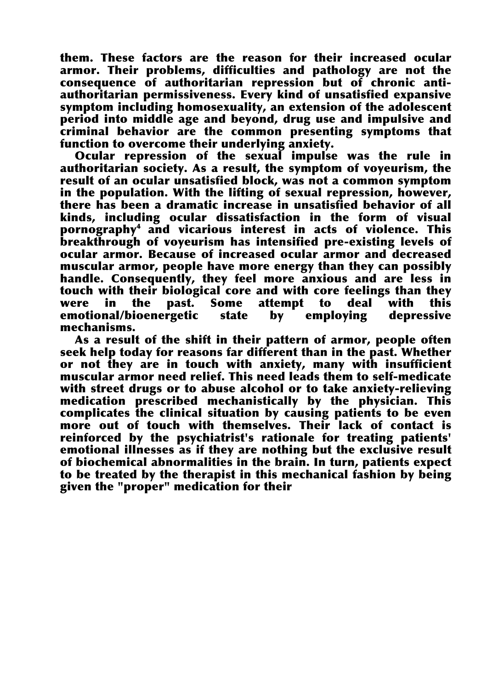them. These factors are the reason for their increased ocular armor. Their problems, difficulties and pathology are not the consequence of authoritarian repression but of chronic antiauthoritarian permissiveness. Every kind of unsatisfied expansive symptom including homosexuality, an extension of the adolescent period into middle age and beyond, drug use and impulsive and criminal behavior are the common presenting symptoms that function to overcome their underlying anxiety.

Ocular repression of the sexual impulse was the rule in authoritarian society. As a result, the symptom of voyeurism, the result of an ocular unsatisfied block, was not a common symptom in the population. With the lifting of sexual repression, however, there has been a dramatic increase in unsatisfied behavior of all kinds, including ocular dissatisfaction in the form of visual pornography4 and vicarious interest in acts of violence. This breakthrough of voyeurism has intensified pre-existing levels of ocular armor. Because of increased ocular armor and decreased muscular armor, people have more energy than they can possibly handle. Consequently, they feel more anxious and are less in touch with their biological core and with core feelings than they were in the past. Some attempt to deal with this emotional/bioenergetic state by employing depressive mechanisms.

As a result of the shift in their pattern of armor, people often seek help today for reasons far different than in the past. Whether or not they are in touch with anxiety, many with insufficient muscular armor need relief. This need leads them to self-medicate with street drugs or to abuse alcohol or to take anxiety-relieving medication prescribed mechanistically by the physician. This complicates the clinical situation by causing patients to be even more out of touch with themselves. Their lack of contact is reinforced by the psychiatrist's rationale for treating patients' emotional illnesses as if they are nothing but the exclusive result of biochemical abnormalities in the brain. In turn, patients expect to be treated by the therapist in this mechanical fashion by being given the "proper" medication for their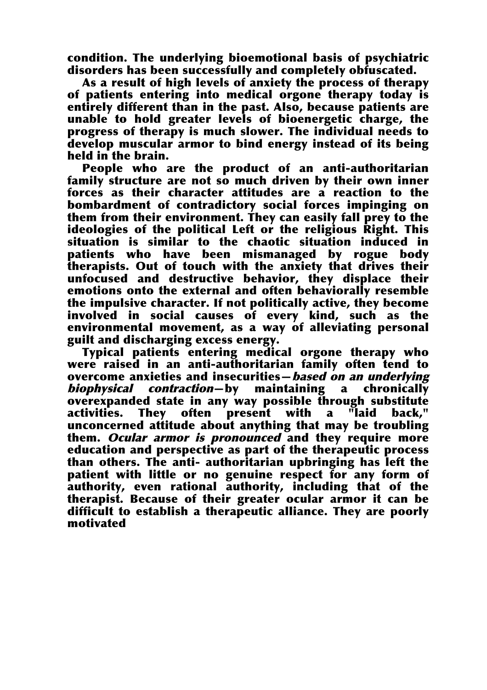condition. The underlying bioemotional basis of psychiatric disorders has been successfully and completely obfuscated.

As a result of high levels of anxiety the process of therapy of patients entering into medical orgone therapy today is entirely different than in the past. Also, because patients are unable to hold greater levels of bioenergetic charge, the progress of therapy is much slower. The individual needs to develop muscular armor to bind energy instead of its being held in the brain.

People who are the product of an anti-authoritarian family structure are not so much driven by their own inner forces as their character attitudes are a reaction to the bombardment of contradictory social forces impinging on them from their environment. They can easily fall prey to the ideologies of the political Left or the religious Right. This situation is similar to the chaotic situation induced patients who have been mismanaged by rogue body therapists. Out of touch with the anxiety that drives their unfocused and destructive behavior, they displace their emotions onto the external and often behaviorally resemble the impulsive character. If not politically active, they become involved in social causes of every kind, such as the environmental movement, as a way of alleviating personal guilt and discharging excess energy.

Typical patients entering medical orgone therapy who were raised in an anti-authoritarian family often tend to overcome anxieties and insecurities—*based on an underlying* biophysical contraction̶by maintaining a chronically overexpanded state in any way possible through substitute activities. They often present with a "laid back," unconcerned attitude about anything that may be troubling them. Ocular armor is pronounced and they require more education and perspective as part of the therapeutic process than others. The anti- authoritarian upbringing has left the patient with little or no genuine respect for any form of authority, even rational authority, including that of the therapist. Because of their greater ocular armor it can be difficult to establish a therapeutic alliance. They are poorly motivated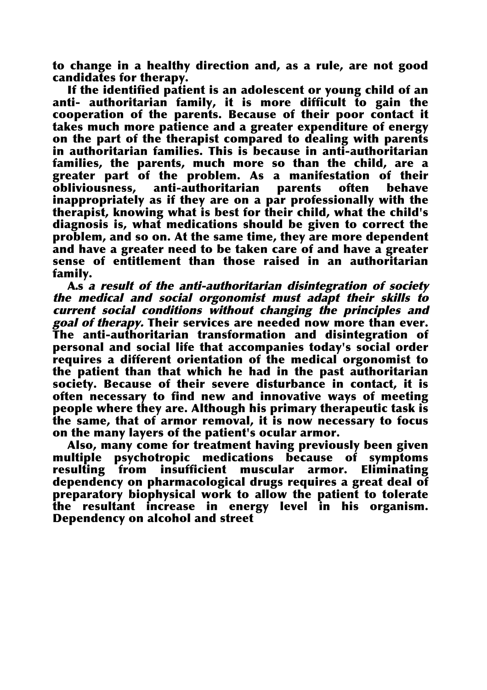to change in a healthy direction and, as a rule, are not good candidates for therapy.

If the identified patient is an adolescent or young child of an anti- authoritarian family, it is more difficult to gain the cooperation of the parents. Because of their poor contact it takes much more patience and a greater expenditure of energy on the part of the therapist compared to dealing with parents in authoritarian families. This is because in anti-authoritarian families, the parents, much more so than the child, are a greater part of the problem. As a manifestation of their obliviousness, anti-authoritarian parents often behave inappropriately as if they are on a par professionally with the therapist, knowing what is best for their child, what the child's diagnosis is, what medications should be given to correct the problem, and so on. At the same time, they are more dependent and have a greater need to be taken care of and have a greater sense of entitlement than those raised in an authoritarian family.

A.s <sup>a</sup> result of the anti-authoritarian disintegration of society the medical and social orgonomist must adapt their skills to current social conditions without changing the principles and goal of therapy. Their services are needed now more than ever. The anti-authoritarian transformation and disintegration of personal and social life that accompanies today's social order requires a different orientation of the medical orgonomist to the patient than that which he had in the past authoritarian society. Because of their severe disturbance in contact, it is often necessary to find new and innovative ways of meeting people where they are. Although his primary therapeutic task is the same, that of armor removal, it is now necessary to focus on the many layers of the patient's ocular armor.

Also, many come for treatment having previously been given multiple psychotropic medications because of symptoms resulting from insufficient muscular armor. Eliminating dependency on pharmacological drugs requires a great deal of preparatory biophysical work to allow the patient to tolerate the resultant increase in energy level in his organism. Dependency on alcohol and street